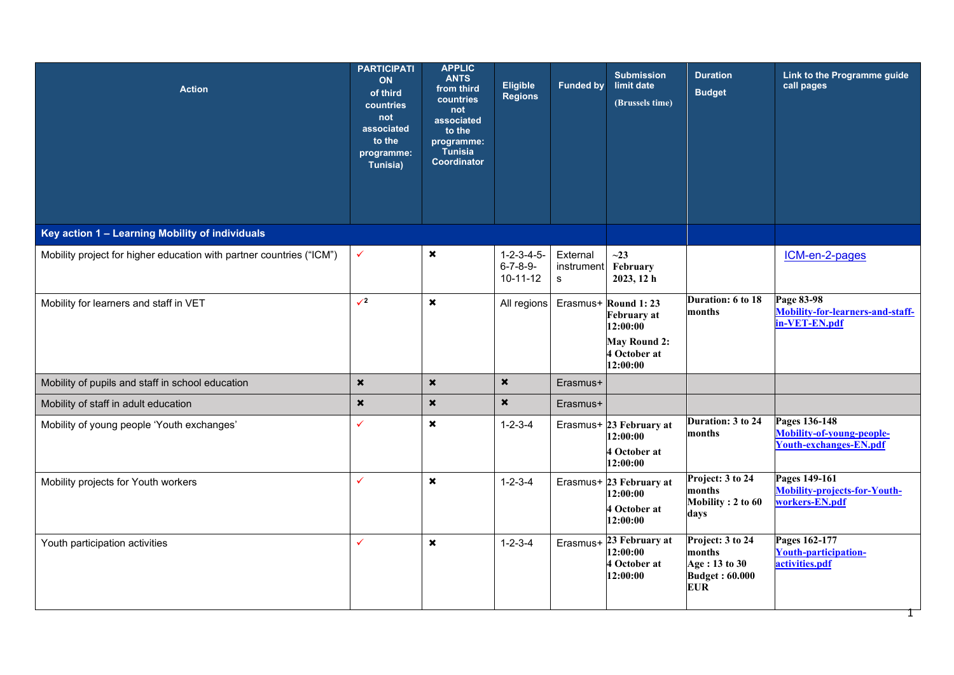| <b>Action</b>                                                        | <b>PARTICIPATI</b><br>ON<br>of third<br>countries<br>not<br>associated<br>to the<br>programme:<br>Tunisia) | <b>APPLIC</b><br><b>ANTS</b><br>from third<br>countries<br>not<br>associated<br>to the<br>programme:<br>Tunisia<br>Coordinator | <b>Eligible</b><br><b>Regions</b>                            | <b>Funded by</b>            | <b>Submission</b><br>limit date<br>(Brussels time)              | <b>Duration</b><br><b>Budget</b>                                                   | Link to the Programme guide<br>call pages                                   |
|----------------------------------------------------------------------|------------------------------------------------------------------------------------------------------------|--------------------------------------------------------------------------------------------------------------------------------|--------------------------------------------------------------|-----------------------------|-----------------------------------------------------------------|------------------------------------------------------------------------------------|-----------------------------------------------------------------------------|
| Key action 1 - Learning Mobility of individuals                      |                                                                                                            |                                                                                                                                |                                                              |                             |                                                                 |                                                                                    |                                                                             |
| Mobility project for higher education with partner countries ("ICM") | $\checkmark$                                                                                               | $\pmb{\times}$                                                                                                                 | $1 - 2 - 3 - 4 - 5 -$<br>$6 - 7 - 8 - 9 -$<br>$10 - 11 - 12$ | External<br>instrument<br>s | $\sim$ 23<br>February<br>2023, 12 h                             |                                                                                    | ICM-en-2-pages                                                              |
| Mobility for learners and staff in VET                               | $\sqrt{2}$                                                                                                 | $\boldsymbol{\mathsf{x}}$                                                                                                      | All regions                                                  |                             | Erasmus+ Round 1: 23<br><b>February</b> at<br>12:00:00          | Duration: 6 to 18<br>months                                                        | Page 83-98<br>Mobility-for-learners-and-staff-<br>in-VET-EN.pdf             |
|                                                                      |                                                                                                            |                                                                                                                                |                                                              |                             | <b>May Round 2:</b><br>4 October at<br>12:00:00                 |                                                                                    |                                                                             |
| Mobility of pupils and staff in school education                     | $\star$                                                                                                    | $\star$                                                                                                                        | $\boldsymbol{\mathsf{x}}$                                    | Erasmus+                    |                                                                 |                                                                                    |                                                                             |
| Mobility of staff in adult education                                 | $\pmb{\times}$                                                                                             | $\pmb{\times}$                                                                                                                 | $\boldsymbol{\mathsf{x}}$                                    | Erasmus+                    |                                                                 |                                                                                    |                                                                             |
| Mobility of young people 'Youth exchanges'                           | $\checkmark$                                                                                               | $\boldsymbol{\mathsf{x}}$                                                                                                      | $1 - 2 - 3 - 4$                                              |                             | Erasmus+ 23 February at<br>12:00:00<br>4 October at<br>12:00:00 | Duration: 3 to 24<br>months                                                        | Pages 136-148<br>Mobility-of-young-people-<br><b>Youth-exchanges-EN.pdf</b> |
| Mobility projects for Youth workers                                  | $\checkmark$                                                                                               | $\boldsymbol{\mathsf{x}}$                                                                                                      | $1 - 2 - 3 - 4$                                              |                             | Erasmus+ 23 February at<br>12:00:00<br>4 October at<br>12:00:00 | Project: 3 to 24<br>months<br>Mobility: 2 to 60<br>days                            | Pages 149-161<br>Mobility-projects-for-Youth-<br>workers-EN.pdf             |
| Youth participation activities                                       | $\checkmark$                                                                                               | $\pmb{\times}$                                                                                                                 | $1 - 2 - 3 - 4$                                              | Erasmus+                    | 23 February at<br>12:00:00<br>4 October at<br>12:00:00          | Project: 3 to 24<br>months<br>Age: 13 to 30<br><b>Budget: 60.000</b><br><b>EUR</b> | Pages 162-177<br>Youth-participation-<br>activities.pdf                     |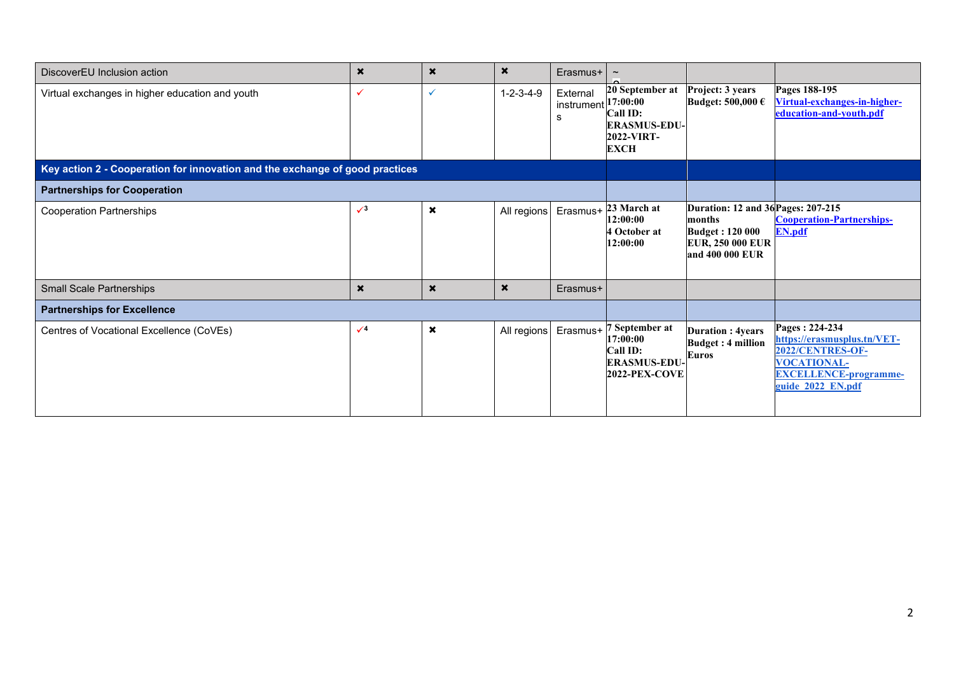| DiscoverEU Inclusion action                                                  | $\boldsymbol{\mathsf{x}}$ | $\boldsymbol{\mathsf{x}}$ | $\boldsymbol{\mathsf{x}}$ | Erasmus+                    | $\widetilde{\phantom{m}}$                                                                          |                                                                                                                      |                                                                                                                                              |
|------------------------------------------------------------------------------|---------------------------|---------------------------|---------------------------|-----------------------------|----------------------------------------------------------------------------------------------------|----------------------------------------------------------------------------------------------------------------------|----------------------------------------------------------------------------------------------------------------------------------------------|
| Virtual exchanges in higher education and youth                              | $\checkmark$              | ✓                         | $1 - 2 - 3 - 4 - 9$       | External<br>instrument<br>s | 20 September at<br>17:00:00<br><b>Call ID:</b><br><b>ERASMUS-EDU-</b><br>2022-VIRT-<br><b>EXCH</b> | Project: 3 years<br>Budget: $500,000 \text{ }\epsilon$                                                               | Pages 188-195<br>Virtual-exchanges-in-higher-<br>education-and-youth.pdf                                                                     |
| Key action 2 - Cooperation for innovation and the exchange of good practices |                           |                           |                           |                             |                                                                                                    |                                                                                                                      |                                                                                                                                              |
| <b>Partnerships for Cooperation</b>                                          |                           |                           |                           |                             |                                                                                                    |                                                                                                                      |                                                                                                                                              |
| <b>Cooperation Partnerships</b>                                              | $\sqrt{3}$                | ×                         | All regions               | Erasmus+                    | 23 March at<br>12:00:00<br>4 October at<br>12:00:00                                                | Duration: 12 and 36 Pages: 207-215<br>months<br><b>Budget: 120 000</b><br><b>EUR, 250 000 EUR</b><br>and 400 000 EUR | <b>Cooperation-Partnerships-</b><br><b>EN.pdf</b>                                                                                            |
| <b>Small Scale Partnerships</b>                                              | $\boldsymbol{\mathsf{x}}$ | $\star$                   | $\boldsymbol{\mathsf{x}}$ | Erasmus+                    |                                                                                                    |                                                                                                                      |                                                                                                                                              |
| <b>Partnerships for Excellence</b>                                           |                           |                           |                           |                             |                                                                                                    |                                                                                                                      |                                                                                                                                              |
| Centres of Vocational Excellence (CoVEs)                                     | $\sqrt{4}$                | $\pmb{\times}$            | All regions               | Erasmus+                    | 7 September at<br>17:00:00<br>Call ID:<br><b>ERASMUS-EDU-</b><br><b>2022-PEX-COVE</b>              | <b>Duration: 4years</b><br><b>Budget: 4 million</b><br>Euros                                                         | Pages: 224-234<br>https://erasmusplus.tn/VET-<br>2022/CENTRES-OF-<br><b>VOCATIONAL-</b><br><b>EXCELLENCE-programme-</b><br>guide 2022 EN.pdf |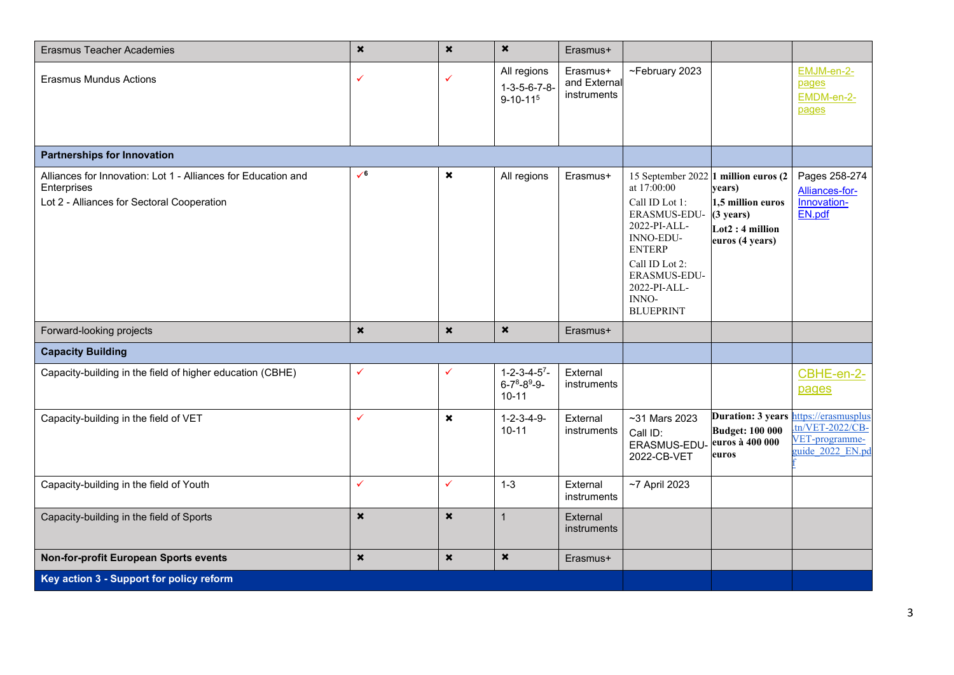| <b>Erasmus Teacher Academies</b>                                                                                           | $\star$                   | $\boldsymbol{\mathsf{x}}$ | $\boldsymbol{\mathsf{x}}$                                          | Erasmus+                                |                                                                                                                                                                                                                    |                                                                                           |                                                                                      |
|----------------------------------------------------------------------------------------------------------------------------|---------------------------|---------------------------|--------------------------------------------------------------------|-----------------------------------------|--------------------------------------------------------------------------------------------------------------------------------------------------------------------------------------------------------------------|-------------------------------------------------------------------------------------------|--------------------------------------------------------------------------------------|
| Erasmus Mundus Actions                                                                                                     | ✓                         |                           | All regions<br>$1 - 3 - 5 - 6 - 7 - 8 -$<br>$9 - 10 - 115$         | Erasmus+<br>and External<br>instruments | ~February 2023                                                                                                                                                                                                     |                                                                                           | EMJM-en-2-<br>pages<br>EMDM-en-2-<br>pages                                           |
| <b>Partnerships for Innovation</b>                                                                                         |                           |                           |                                                                    |                                         |                                                                                                                                                                                                                    |                                                                                           |                                                                                      |
| Alliances for Innovation: Lot 1 - Alliances for Education and<br>Enterprises<br>Lot 2 - Alliances for Sectoral Cooperation | $\sqrt{6}$                | $\boldsymbol{\mathsf{x}}$ | All regions                                                        | Erasmus+                                | 15 September 2022 1 million euros (2<br>at 17:00:00<br>Call ID Lot 1:<br>ERASMUS-EDU-<br>2022-PI-ALL-<br>INNO-EDU-<br><b>ENTERP</b><br>Call ID Lot 2:<br>ERASMUS-EDU-<br>2022-PI-ALL-<br>INNO-<br><b>BLUEPRINT</b> | years)<br>1,5 million euros<br>$(3 \text{ years})$<br>$Lot2:4$ million<br>euros (4 years) | Pages 258-274<br>Alliances-for-<br>Innovation-<br>EN.pdf                             |
| Forward-looking projects                                                                                                   | $\pmb{\times}$            | $\pmb{\times}$            | $\boldsymbol{\mathsf{x}}$                                          | Erasmus+                                |                                                                                                                                                                                                                    |                                                                                           |                                                                                      |
| <b>Capacity Building</b>                                                                                                   |                           |                           |                                                                    |                                         |                                                                                                                                                                                                                    |                                                                                           |                                                                                      |
| Capacity-building in the field of higher education (CBHE)                                                                  | ✓                         | ✓                         | $1 - 2 - 3 - 4 - 5$ <sup>7</sup><br>$6 - 78 - 89 - 9$<br>$10 - 11$ | External<br>instruments                 |                                                                                                                                                                                                                    |                                                                                           | CBHE-en-2-<br>pages                                                                  |
| Capacity-building in the field of VET                                                                                      | ✓                         | $\boldsymbol{\mathsf{x}}$ | $1 - 2 - 3 - 4 - 9 -$<br>$10 - 11$                                 | External<br>instruments                 | $~51$ Mars 2023<br>Call ID:<br>ERASMUS-EDU-<br>2022-CB-VET                                                                                                                                                         | Duration: 3 years<br><b>Budget: 100 000</b><br>euros à 400 000<br>euros                   | https://erasmusplus<br>$\text{tn/VET-2022/CB}$<br>VET-programme-<br>guide 2022 EN.pd |
| Capacity-building in the field of Youth                                                                                    | $\checkmark$              | $\checkmark$              | $1 - 3$                                                            | External<br>instruments                 | $~1$ 7 April 2023                                                                                                                                                                                                  |                                                                                           |                                                                                      |
| Capacity-building in the field of Sports                                                                                   | $\boldsymbol{\mathsf{x}}$ | $\boldsymbol{\mathsf{x}}$ | $\mathbf{1}$                                                       | External<br>instruments                 |                                                                                                                                                                                                                    |                                                                                           |                                                                                      |
| Non-for-profit European Sports events                                                                                      | $\pmb{\times}$            | $\boldsymbol{\mathsf{x}}$ | $\pmb{\times}$                                                     | Erasmus+                                |                                                                                                                                                                                                                    |                                                                                           |                                                                                      |
| Key action 3 - Support for policy reform                                                                                   |                           |                           |                                                                    |                                         |                                                                                                                                                                                                                    |                                                                                           |                                                                                      |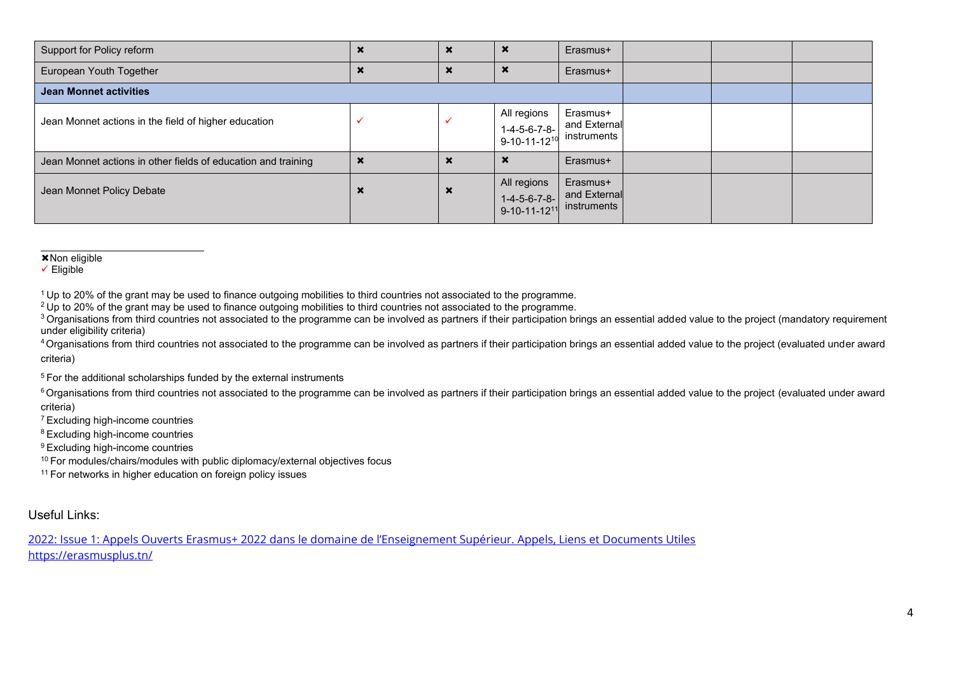| Support for Policy reform                                     |                      | $\boldsymbol{\mathsf{x}}$ | $\boldsymbol{\mathsf{x}}$                                 | Erasmus+                                |  |  |
|---------------------------------------------------------------|----------------------|---------------------------|-----------------------------------------------------------|-----------------------------------------|--|--|
| European Youth Together                                       |                      | $\boldsymbol{\mathsf{x}}$ | $\boldsymbol{\mathsf{x}}$                                 | Erasmus+                                |  |  |
| <b>Jean Monnet activities</b>                                 |                      |                           |                                                           |                                         |  |  |
| Jean Monnet actions in the field of higher education          |                      |                           | All regions<br>$1-4-5-6-7-8-$<br>9-10-11-12 <sup>10</sup> | Erasmus+<br>and External<br>instruments |  |  |
| Jean Monnet actions in other fields of education and training | ◚                    | х                         |                                                           | Erasmus+                                |  |  |
| Jean Monnet Policy Debate                                     | $\ddot{\phantom{1}}$ | $\boldsymbol{\mathsf{x}}$ | All regions<br>$1-4-5-6-7-8-$<br>9-10-11-12 <sup>11</sup> | Erasmus+<br>and External<br>instruments |  |  |

 $\overline{\text{×}$  Non eligible

✓ Eligible

<sup>1</sup>Up to 20% of the grant may be used to finance outgoing mobilities to third countries not associated to the programme.

<sup>2</sup>Up to 20% of the grant may be used to finance outgoing mobilities to third countries not associated to the programme.

<sup>3</sup> Organisations from third countries not associated to the programme can be involved as partners if their participation brings an essential added value to the project (mandatory requirement under eligibility criteria)

<sup>4</sup> Organisations from third countries not associated to the programme can be involved as partners if their participation brings an essential added value to the project (evaluated under award criteria)

 $5$  For the additional scholarships funded by the external instruments

<sup>6</sup> Organisations from third countries not associated to the programme can be involved as partners if their participation brings an essential added value to the project (evaluated under award criteria)

<sup>7</sup>Excluding high-income countries

<sup>8</sup>Excluding high-income countries

<sup>9</sup>Excluding high-income countries

<sup>10</sup> For modules/chairs/modules with public diplomacy/external objectives focus

<sup>11</sup> For networks in higher education on foreign policy issues

## Useful Links:

2022: Issue 1: Appels Ouverts Erasmus+ 2022 dans le doma[ine de l'Enseignement Supérieur. Appels, Liens et Documents Utiles](https://erasmusplus.tn/doc/Newsletters/NewLetter_Special_Edition-HEI_2022.pdf) <https://erasmusplus.tn/>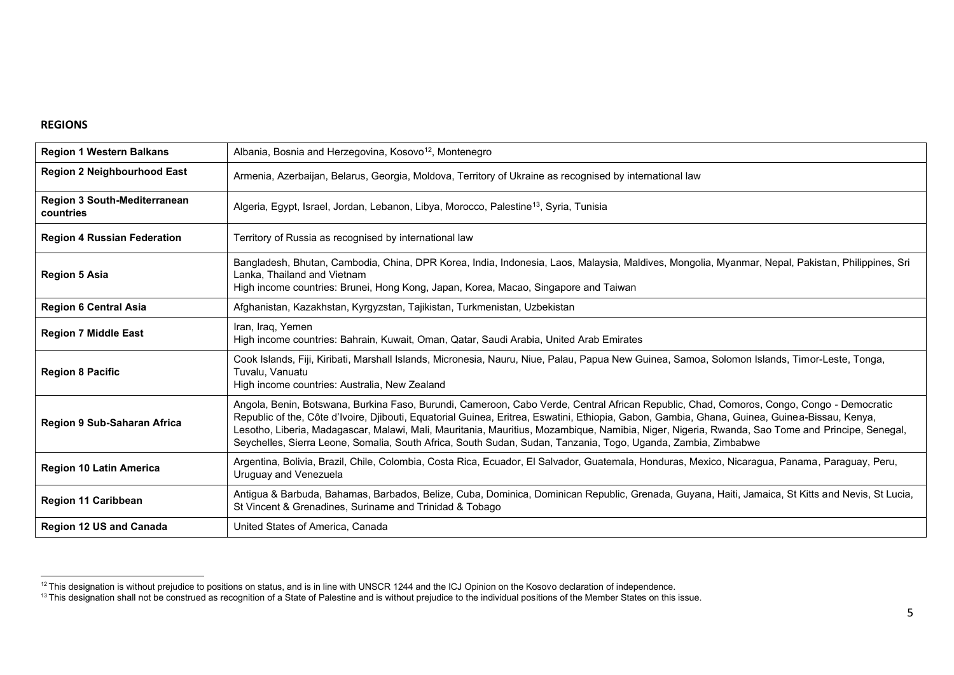## **REGIONS**

| <b>Region 1 Western Balkans</b>                  | Albania, Bosnia and Herzegovina, Kosovo <sup>12</sup> , Montenegro                                                                                                                                                                                                                                                                                                                                                                                                                                                                                            |
|--------------------------------------------------|---------------------------------------------------------------------------------------------------------------------------------------------------------------------------------------------------------------------------------------------------------------------------------------------------------------------------------------------------------------------------------------------------------------------------------------------------------------------------------------------------------------------------------------------------------------|
| <b>Region 2 Neighbourhood East</b>               | Armenia, Azerbaijan, Belarus, Georgia, Moldova, Territory of Ukraine as recognised by international law                                                                                                                                                                                                                                                                                                                                                                                                                                                       |
| <b>Region 3 South-Mediterranean</b><br>countries | Algeria, Egypt, Israel, Jordan, Lebanon, Libya, Morocco, Palestine <sup>13</sup> , Syria, Tunisia                                                                                                                                                                                                                                                                                                                                                                                                                                                             |
| <b>Region 4 Russian Federation</b>               | Territory of Russia as recognised by international law                                                                                                                                                                                                                                                                                                                                                                                                                                                                                                        |
| <b>Region 5 Asia</b>                             | Bangladesh, Bhutan, Cambodia, China, DPR Korea, India, Indonesia, Laos, Malaysia, Maldives, Mongolia, Myanmar, Nepal, Pakistan, Philippines, Sri<br>Lanka, Thailand and Vietnam<br>High income countries: Brunei, Hong Kong, Japan, Korea, Macao, Singapore and Taiwan                                                                                                                                                                                                                                                                                        |
| <b>Region 6 Central Asia</b>                     | Afghanistan, Kazakhstan, Kyrgyzstan, Tajikistan, Turkmenistan, Uzbekistan                                                                                                                                                                                                                                                                                                                                                                                                                                                                                     |
| <b>Region 7 Middle East</b>                      | Iran, Iraq, Yemen<br>High income countries: Bahrain, Kuwait, Oman, Qatar, Saudi Arabia, United Arab Emirates                                                                                                                                                                                                                                                                                                                                                                                                                                                  |
| <b>Region 8 Pacific</b>                          | Cook Islands, Fiji, Kiribati, Marshall Islands, Micronesia, Nauru, Niue, Palau, Papua New Guinea, Samoa, Solomon Islands, Timor-Leste, Tonga,<br>Tuvalu, Vanuatu<br>High income countries: Australia, New Zealand                                                                                                                                                                                                                                                                                                                                             |
| <b>Region 9 Sub-Saharan Africa</b>               | Angola, Benin, Botswana, Burkina Faso, Burundi, Cameroon, Cabo Verde, Central African Republic, Chad, Comoros, Congo, Congo - Democratic<br>Republic of the, Côte d'Ivoire, Djibouti, Equatorial Guinea, Eritrea, Eswatini, Ethiopia, Gabon, Gambia, Ghana, Guinea, Guinea-Bissau, Kenya,<br>Lesotho, Liberia, Madagascar, Malawi, Mali, Mauritania, Mauritius, Mozambique, Namibia, Niger, Nigeria, Rwanda, Sao Tome and Principe, Senegal,<br>Seychelles, Sierra Leone, Somalia, South Africa, South Sudan, Sudan, Tanzania, Togo, Uganda, Zambia, Zimbabwe |
| <b>Region 10 Latin America</b>                   | Argentina, Bolivia, Brazil, Chile, Colombia, Costa Rica, Ecuador, El Salvador, Guatemala, Honduras, Mexico, Nicaragua, Panama, Paraguay, Peru,<br>Uruguay and Venezuela                                                                                                                                                                                                                                                                                                                                                                                       |
| <b>Region 11 Caribbean</b>                       | Antigua & Barbuda, Bahamas, Barbados, Belize, Cuba, Dominica, Dominican Republic, Grenada, Guyana, Haiti, Jamaica, St Kitts and Nevis, St Lucia,<br>St Vincent & Grenadines, Suriname and Trinidad & Tobago                                                                                                                                                                                                                                                                                                                                                   |
| <b>Region 12 US and Canada</b>                   | United States of America, Canada                                                                                                                                                                                                                                                                                                                                                                                                                                                                                                                              |

 $12$  This designation is without prejudice to positions on status, and is in line with UNSCR 1244 and the ICJ Opinion on the Kosovo declaration of independence.

<sup>&</sup>lt;sup>13</sup> This designation shall not be construed as recognition of a State of Palestine and is without prejudice to the individual positions of the Member States on this issue.